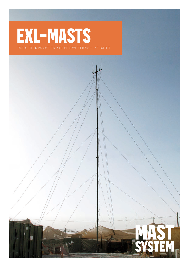## **EXL-MASTS**

tactical telescopic masts for large and heavy top loads – up to 164 feet